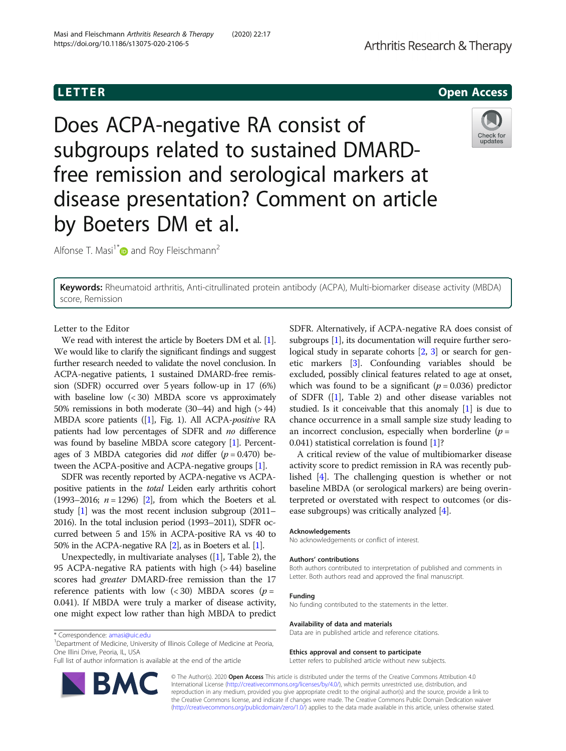# **LETTER** CONSTRUCTION CONTINUES AND LOCAL CONTINUES OPEN ACCESS OPEN ACCESS OPEN ACCESS OPEN ACCESS OPEN ACCESS O

Does ACPA-negative RA consist of subgroups related to sustained DMARDfree remission and serological markers at disease presentation? Comment on article by Boeters DM et al.

Alfonse T. Masi<sup>1\*</sup> and Roy Fleischmann<sup>2</sup>

Keywords: Rheumatoid arthritis, Anti-citrullinated protein antibody (ACPA), Multi-biomarker disease activity (MBDA) score, Remission

Letter to the Editor

We read with interest the article by Boeters DM et al. [[1](#page-1-0)]. We would like to clarify the significant findings and suggest further research needed to validate the novel conclusion. In ACPA-negative patients, 1 sustained DMARD-free remission (SDFR) occurred over 5 years follow-up in 17 (6%) with baseline low  $( $30$ ) MBDA score vs approximately$ 50% remissions in both moderate (30–44) and high (> 44) MBDA score patients ([[1](#page-1-0)], Fig. 1). All ACPA-positive RA patients had low percentages of SDFR and no difference was found by baseline MBDA score category [\[1\]](#page-1-0). Percentages of 3 MBDA categories did *not* differ  $(p = 0.470)$  between the ACPA-positive and ACPA-negative groups [[1](#page-1-0)].

SDFR was recently reported by ACPA-negative vs ACPApositive patients in the total Leiden early arthritis cohort (1993–2016;  $n = 1296$ ) [\[2\]](#page-1-0), from which the Boeters et al. study [[1](#page-1-0)] was the most recent inclusion subgroup (2011– 2016). In the total inclusion period (1993–2011), SDFR occurred between 5 and 15% in ACPA-positive RA vs 40 to 50% in the ACPA-negative RA [\[2\]](#page-1-0), as in Boeters et al. [[1](#page-1-0)].

Unexpectedly, in multivariate analyses  $(1]$  $(1]$ , Table 2), the 95 ACPA-negative RA patients with high (> 44) baseline scores had greater DMARD-free remission than the 17 reference patients with low  $(< 30)$  MBDA scores ( $p =$ 0.041). If MBDA were truly a marker of disease activity, one might expect low rather than high MBDA to predict

\* Correspondence: [amasi@uic.edu](mailto:amasi@uic.edu) <sup>1</sup>

<sup>1</sup>Department of Medicine, University of Illinois College of Medicine at Peoria, One Illini Drive, Peoria, IL, USA

Full list of author information is available at the end of the article

© The Author(s). 2020 Open Access This article is distributed under the terms of the Creative Commons Attribution 4.0 International License [\(http://creativecommons.org/licenses/by/4.0/](http://creativecommons.org/licenses/by/4.0/)), which permits unrestricted use, distribution, and reproduction in any medium, provided you give appropriate credit to the original author(s) and the source, provide a link to the Creative Commons license, and indicate if changes were made. The Creative Commons Public Domain Dedication waiver [\(http://creativecommons.org/publicdomain/zero/1.0/](http://creativecommons.org/publicdomain/zero/1.0/)) applies to the data made available in this article, unless otherwise stated.

SDFR. Alternatively, if ACPA-negative RA does consist of subgroups [[1\]](#page-1-0), its documentation will require further serological study in separate cohorts [\[2,](#page-1-0) [3](#page-1-0)] or search for genetic markers [\[3](#page-1-0)]. Confounding variables should be excluded, possibly clinical features related to age at onset, which was found to be a significant ( $p = 0.036$ ) predictor of SDFR ([[1](#page-1-0)], Table 2) and other disease variables not studied. Is it conceivable that this anomaly [[1](#page-1-0)] is due to chance occurrence in a small sample size study leading to an incorrect conclusion, especially when borderline  $(p =$ 0.041) statistical correlation is found [[1](#page-1-0)]?

A critical review of the value of multibiomarker disease activity score to predict remission in RA was recently published [\[4](#page-1-0)]. The challenging question is whether or not baseline MBDA (or serological markers) are being overinterpreted or overstated with respect to outcomes (or disease subgroups) was critically analyzed [[4\]](#page-1-0).

### Acknowledgements

No acknowledgements or conflict of interest.

#### Authors' contributions

Both authors contributed to interpretation of published and comments in Letter. Both authors read and approved the final manuscript.

#### Funding No funding contributed to the statements in the letter.

Availability of data and materials

Data are in published article and reference citations.

#### Ethics approval and consent to participate

Letter refers to published article without new subjects.

Arthritis Research & Therapy